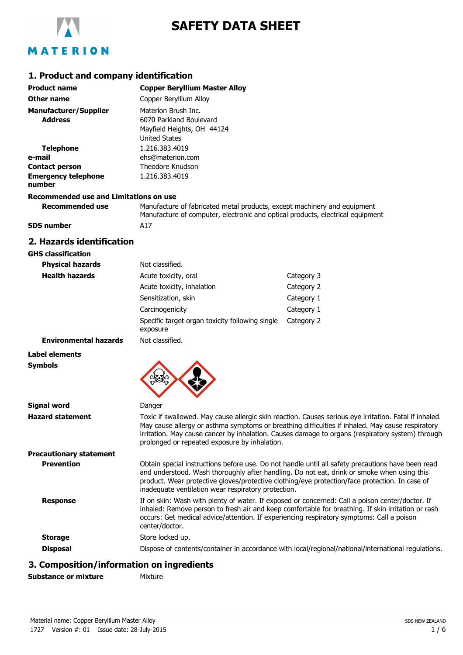

# **SAFETY DATA SHEET**

### **1. Product and company identification**

| <b>Product name</b>                            | <b>Copper Beryllium Master Alloy</b>                                                                 |
|------------------------------------------------|------------------------------------------------------------------------------------------------------|
| Other name                                     | Copper Beryllium Alloy                                                                               |
| <b>Manufacturer/Supplier</b><br><b>Address</b> | Materion Brush Inc.<br>6070 Parkland Boulevard<br>Mayfield Heights, OH 44124<br><b>United States</b> |
| <b>Telephone</b>                               | 1.216.383.4019                                                                                       |
| e-mail                                         | ehs@materion.com                                                                                     |
| <b>Contact person</b>                          | Theodore Knudson                                                                                     |
| <b>Emergency telephone</b><br>number           | 1.216.383.4019                                                                                       |
| Recommended use and Limitations on use         |                                                                                                      |
| Recommended use                                | Manufacture of fabricated metal products, except machinery and                                       |

| Recommended use   | Manufacture of fabricated metal products, except machinery and equipment       |
|-------------------|--------------------------------------------------------------------------------|
|                   | Manufacture of computer, electronic and optical products, electrical equipment |
| <b>SDS number</b> | A17                                                                            |

### **2. Hazards identification**

| <b>GHS classification</b>    |                                                             |            |
|------------------------------|-------------------------------------------------------------|------------|
| <b>Physical hazards</b>      | Not classified.                                             |            |
| <b>Health hazards</b>        | Acute toxicity, oral                                        | Category 3 |
|                              | Acute toxicity, inhalation                                  | Category 2 |
|                              | Sensitization, skin                                         | Category 1 |
|                              | Carcinogenicity                                             | Category 1 |
|                              | Specific target organ toxicity following single<br>exposure | Category 2 |
| <b>Environmental hazards</b> | Not classified.                                             |            |
| Label elements               |                                                             |            |

## **Symbols**

| <b>Signal word</b>             | Danger                                                                                                                                                                                                                                                                                                                                                         |
|--------------------------------|----------------------------------------------------------------------------------------------------------------------------------------------------------------------------------------------------------------------------------------------------------------------------------------------------------------------------------------------------------------|
| <b>Hazard statement</b>        | Toxic if swallowed. May cause allergic skin reaction. Causes serious eye irritation. Fatal if inhaled<br>May cause allergy or asthma symptoms or breathing difficulties if inhaled. May cause respiratory<br>irritation. May cause cancer by inhalation. Causes damage to organs (respiratory system) through<br>prolonged or repeated exposure by inhalation. |
| <b>Precautionary statement</b> |                                                                                                                                                                                                                                                                                                                                                                |
| <b>Prevention</b>              | Obtain special instructions before use. Do not handle until all safety precautions have been read<br>and understood. Wash thoroughly after handling. Do not eat, drink or smoke when using this<br>product. Wear protective gloves/protective clothing/eye protection/face protection. In case of<br>inadequate ventilation wear respiratory protection.       |
| <b>Response</b>                | If on skin: Wash with plenty of water. If exposed or concerned: Call a poison center/doctor. If<br>inhaled: Remove person to fresh air and keep comfortable for breathing. If skin irritation or rash<br>occurs: Get medical advice/attention. If experiencing respiratory symptoms: Call a poison<br>center/doctor.                                           |
| <b>Storage</b>                 | Store locked up.                                                                                                                                                                                                                                                                                                                                               |
| <b>Disposal</b>                | Dispose of contents/container in accordance with local/regional/national/international regulations.                                                                                                                                                                                                                                                            |
|                                |                                                                                                                                                                                                                                                                                                                                                                |

## **3. Composition/information on ingredients**

**Mixture** 

Material name: Copper Beryllium Master Alloy 1727 Version #: 01 Issue date: 28-July-2015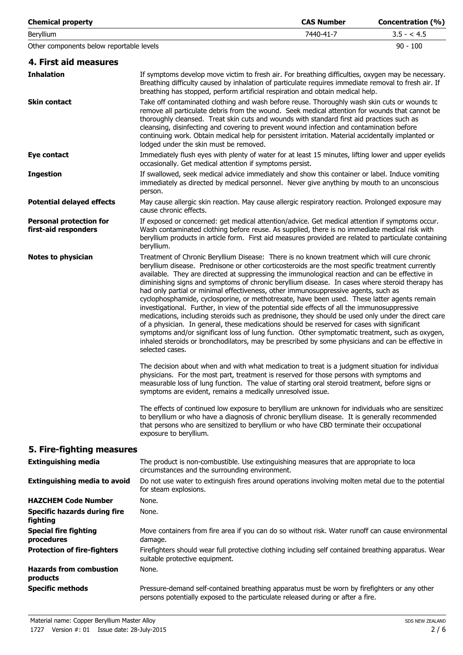| <b>Chemical property</b>                               |                                                                                                                                                                                                                                                                                                                                                                                                                                                                                                                                                                                                                                                                                                                                                                                                                                                                                                                                                                                                                                                                                                                           | <b>CAS Number</b> | Concentration (%) |
|--------------------------------------------------------|---------------------------------------------------------------------------------------------------------------------------------------------------------------------------------------------------------------------------------------------------------------------------------------------------------------------------------------------------------------------------------------------------------------------------------------------------------------------------------------------------------------------------------------------------------------------------------------------------------------------------------------------------------------------------------------------------------------------------------------------------------------------------------------------------------------------------------------------------------------------------------------------------------------------------------------------------------------------------------------------------------------------------------------------------------------------------------------------------------------------------|-------------------|-------------------|
| Beryllium                                              |                                                                                                                                                                                                                                                                                                                                                                                                                                                                                                                                                                                                                                                                                                                                                                                                                                                                                                                                                                                                                                                                                                                           | 7440-41-7         | $3.5 - 4.5$       |
| Other components below reportable levels               |                                                                                                                                                                                                                                                                                                                                                                                                                                                                                                                                                                                                                                                                                                                                                                                                                                                                                                                                                                                                                                                                                                                           |                   | $90 - 100$        |
| 4. First aid measures                                  |                                                                                                                                                                                                                                                                                                                                                                                                                                                                                                                                                                                                                                                                                                                                                                                                                                                                                                                                                                                                                                                                                                                           |                   |                   |
| <b>Inhalation</b>                                      | If symptoms develop move victim to fresh air. For breathing difficulties, oxygen may be necessary.<br>Breathing difficulty caused by inhalation of particulate requires immediate removal to fresh air. If<br>breathing has stopped, perform artificial respiration and obtain medical help.                                                                                                                                                                                                                                                                                                                                                                                                                                                                                                                                                                                                                                                                                                                                                                                                                              |                   |                   |
| <b>Skin contact</b>                                    | Take off contaminated clothing and wash before reuse. Thoroughly wash skin cuts or wounds to<br>remove all particulate debris from the wound. Seek medical attention for wounds that cannot be<br>thoroughly cleansed. Treat skin cuts and wounds with standard first aid practices such as<br>cleansing, disinfecting and covering to prevent wound infection and contamination before<br>continuing work. Obtain medical help for persistent irritation. Material accidentally implanted or<br>lodged under the skin must be removed.                                                                                                                                                                                                                                                                                                                                                                                                                                                                                                                                                                                   |                   |                   |
| Eye contact                                            | Immediately flush eyes with plenty of water for at least 15 minutes, lifting lower and upper eyelids<br>occasionally. Get medical attention if symptoms persist.                                                                                                                                                                                                                                                                                                                                                                                                                                                                                                                                                                                                                                                                                                                                                                                                                                                                                                                                                          |                   |                   |
| <b>Ingestion</b>                                       | If swallowed, seek medical advice immediately and show this container or label. Induce vomiting<br>immediately as directed by medical personnel. Never give anything by mouth to an unconscious<br>person.                                                                                                                                                                                                                                                                                                                                                                                                                                                                                                                                                                                                                                                                                                                                                                                                                                                                                                                |                   |                   |
| <b>Potential delayed effects</b>                       | May cause allergic skin reaction. May cause allergic respiratory reaction. Prolonged exposure may<br>cause chronic effects.                                                                                                                                                                                                                                                                                                                                                                                                                                                                                                                                                                                                                                                                                                                                                                                                                                                                                                                                                                                               |                   |                   |
| <b>Personal protection for</b><br>first-aid responders | If exposed or concerned: get medical attention/advice. Get medical attention if symptoms occur.<br>Wash contaminated clothing before reuse. As supplied, there is no immediate medical risk with<br>beryllium products in article form. First aid measures provided are related to particulate containing<br>beryllium.                                                                                                                                                                                                                                                                                                                                                                                                                                                                                                                                                                                                                                                                                                                                                                                                   |                   |                   |
| <b>Notes to physician</b>                              | Treatment of Chronic Beryllium Disease: There is no known treatment which will cure chronic<br>beryllium disease. Prednisone or other corticosteroids are the most specific treatment currently<br>available. They are directed at suppressing the immunological reaction and can be effective in<br>diminishing signs and symptoms of chronic beryllium disease. In cases where steroid therapy has<br>had only partial or minimal effectiveness, other immunosuppressive agents, such as<br>cyclophosphamide, cyclosporine, or methotrexate, have been used. These latter agents remain<br>investigational. Further, in view of the potential side effects of all the immunosuppressive<br>medications, including steroids such as prednisone, they should be used only under the direct care<br>of a physician. In general, these medications should be reserved for cases with significant<br>symptoms and/or significant loss of lung function. Other symptomatic treatment, such as oxygen,<br>inhaled steroids or bronchodilators, may be prescribed by some physicians and can be effective in<br>selected cases. |                   |                   |
|                                                        | The decision about when and with what medication to treat is a judgment situation for individua<br>physicians. For the most part, treatment is reserved for those persons with symptoms and<br>measurable loss of lung function. The value of starting oral steroid treatment, before signs or<br>symptoms are evident, remains a medically unresolved issue.                                                                                                                                                                                                                                                                                                                                                                                                                                                                                                                                                                                                                                                                                                                                                             |                   |                   |
|                                                        | The effects of continued low exposure to beryllium are unknown for individuals who are sensitizec<br>to beryllium or who have a diagnosis of chronic beryllium disease. It is generally recommended<br>that persons who are sensitized to beryllium or who have CBD terminate their occupational<br>exposure to beryllium.                                                                                                                                                                                                                                                                                                                                                                                                                                                                                                                                                                                                                                                                                                                                                                                                |                   |                   |
| 5. Fire-fighting measures                              |                                                                                                                                                                                                                                                                                                                                                                                                                                                                                                                                                                                                                                                                                                                                                                                                                                                                                                                                                                                                                                                                                                                           |                   |                   |
| <b>Extinguishing media</b>                             | The product is non-combustible. Use extinguishing measures that are appropriate to loca<br>circumstances and the surrounding environment.                                                                                                                                                                                                                                                                                                                                                                                                                                                                                                                                                                                                                                                                                                                                                                                                                                                                                                                                                                                 |                   |                   |
| <b>Extinguishing media to avoid</b>                    | Do not use water to extinguish fires around operations involving molten metal due to the potential<br>for steam explosions.                                                                                                                                                                                                                                                                                                                                                                                                                                                                                                                                                                                                                                                                                                                                                                                                                                                                                                                                                                                               |                   |                   |
| <b>HAZCHEM Code Number</b>                             | None.                                                                                                                                                                                                                                                                                                                                                                                                                                                                                                                                                                                                                                                                                                                                                                                                                                                                                                                                                                                                                                                                                                                     |                   |                   |
| <b>Specific hazards during fire</b><br>fighting        | None.                                                                                                                                                                                                                                                                                                                                                                                                                                                                                                                                                                                                                                                                                                                                                                                                                                                                                                                                                                                                                                                                                                                     |                   |                   |
| <b>Special fire fighting</b><br>procedures             | Move containers from fire area if you can do so without risk. Water runoff can cause environmental<br>damage.                                                                                                                                                                                                                                                                                                                                                                                                                                                                                                                                                                                                                                                                                                                                                                                                                                                                                                                                                                                                             |                   |                   |
| <b>Protection of fire-fighters</b>                     | Firefighters should wear full protective clothing including self contained breathing apparatus. Wear<br>suitable protective equipment.                                                                                                                                                                                                                                                                                                                                                                                                                                                                                                                                                                                                                                                                                                                                                                                                                                                                                                                                                                                    |                   |                   |
| <b>Hazards from combustion</b><br>products             | None.                                                                                                                                                                                                                                                                                                                                                                                                                                                                                                                                                                                                                                                                                                                                                                                                                                                                                                                                                                                                                                                                                                                     |                   |                   |
| <b>Specific methods</b>                                | Pressure-demand self-contained breathing apparatus must be worn by firefighters or any other<br>persons potentially exposed to the particulate released during or after a fire.                                                                                                                                                                                                                                                                                                                                                                                                                                                                                                                                                                                                                                                                                                                                                                                                                                                                                                                                           |                   |                   |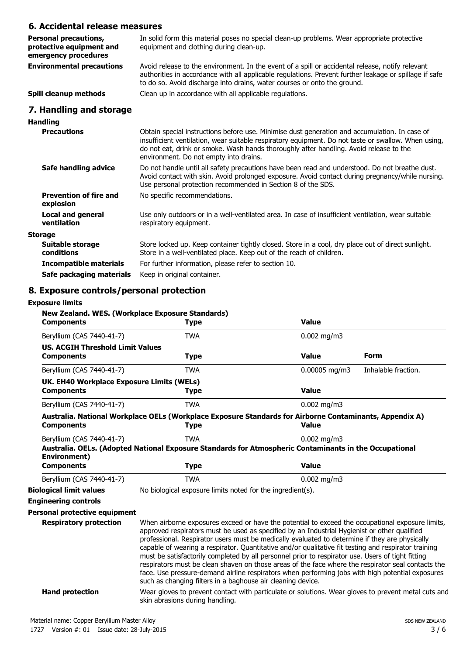## **6. Accidental release measures**

| 6. Accidental release measures                                                                                                                                                                                                                                                                                                           |
|------------------------------------------------------------------------------------------------------------------------------------------------------------------------------------------------------------------------------------------------------------------------------------------------------------------------------------------|
| In solid form this material poses no special clean-up problems. Wear appropriate protective<br>equipment and clothing during clean-up.                                                                                                                                                                                                   |
| Avoid release to the environment. In the event of a spill or accidental release, notify relevant<br>authorities in accordance with all applicable regulations. Prevent further leakage or spillage if safe<br>to do so. Avoid discharge into drains, water courses or onto the ground.                                                   |
| Clean up in accordance with all applicable regulations.                                                                                                                                                                                                                                                                                  |
|                                                                                                                                                                                                                                                                                                                                          |
|                                                                                                                                                                                                                                                                                                                                          |
| Obtain special instructions before use. Minimise dust generation and accumulation. In case of<br>insufficient ventilation, wear suitable respiratory equipment. Do not taste or swallow. When using,<br>do not eat, drink or smoke. Wash hands thoroughly after handling. Avoid release to the<br>environment. Do not empty into drains. |
| Do not handle until all safety precautions have been read and understood. Do not breathe dust.<br>Avoid contact with skin. Avoid prolonged exposure. Avoid contact during pregnancy/while nursing.<br>Use personal protection recommended in Section 8 of the SDS.                                                                       |
| No specific recommendations.                                                                                                                                                                                                                                                                                                             |
| Use only outdoors or in a well-ventilated area. In case of insufficient ventilation, wear suitable<br>respiratory equipment.                                                                                                                                                                                                             |
|                                                                                                                                                                                                                                                                                                                                          |
| Store locked up. Keep container tightly closed. Store in a cool, dry place out of direct sunlight.<br>Store in a well-ventilated place. Keep out of the reach of children.                                                                                                                                                               |
| For further information, please refer to section 10.                                                                                                                                                                                                                                                                                     |
|                                                                                                                                                                                                                                                                                                                                          |

**Safe packaging materials** Keep in original container.

## **8. Exposure controls/personal protection**

#### **Exposure limits**

| <b>Components</b>                                              | New Zealand. WES. (Workplace Exposure Standards)<br><b>Type</b>                                                                                                                                                                                                                                                                                                                                                                                                                                                                                                                                                                                                                                                                                                                          | <b>Value</b>                  |                     |
|----------------------------------------------------------------|------------------------------------------------------------------------------------------------------------------------------------------------------------------------------------------------------------------------------------------------------------------------------------------------------------------------------------------------------------------------------------------------------------------------------------------------------------------------------------------------------------------------------------------------------------------------------------------------------------------------------------------------------------------------------------------------------------------------------------------------------------------------------------------|-------------------------------|---------------------|
| Beryllium (CAS 7440-41-7)                                      | <b>TWA</b>                                                                                                                                                                                                                                                                                                                                                                                                                                                                                                                                                                                                                                                                                                                                                                               | $0.002$ mg/m3                 |                     |
| <b>US. ACGIH Threshold Limit Values</b>                        |                                                                                                                                                                                                                                                                                                                                                                                                                                                                                                                                                                                                                                                                                                                                                                                          |                               |                     |
| <b>Components</b>                                              | <b>Type</b>                                                                                                                                                                                                                                                                                                                                                                                                                                                                                                                                                                                                                                                                                                                                                                              | <b>Value</b>                  | <b>Form</b>         |
| Beryllium (CAS 7440-41-7)                                      | <b>TWA</b>                                                                                                                                                                                                                                                                                                                                                                                                                                                                                                                                                                                                                                                                                                                                                                               | 0.00005 mg/m3                 | Inhalable fraction. |
| UK. EH40 Workplace Exposure Limits (WELs)<br><b>Components</b> | Type                                                                                                                                                                                                                                                                                                                                                                                                                                                                                                                                                                                                                                                                                                                                                                                     | <b>Value</b>                  |                     |
| Beryllium (CAS 7440-41-7)                                      | <b>TWA</b>                                                                                                                                                                                                                                                                                                                                                                                                                                                                                                                                                                                                                                                                                                                                                                               | $0.002$ mg/m3                 |                     |
| <b>Components</b>                                              | Australia. National Workplace OELs (Workplace Exposure Standards for Airborne Contaminants, Appendix A)<br><b>Type</b>                                                                                                                                                                                                                                                                                                                                                                                                                                                                                                                                                                                                                                                                   | <b>Value</b>                  |                     |
| Beryllium (CAS 7440-41-7)<br>Environment)<br><b>Components</b> | <b>TWA</b><br>Australia. OELs. (Adopted National Exposure Standards for Atmospheric Contaminants in the Occupational<br><b>Type</b>                                                                                                                                                                                                                                                                                                                                                                                                                                                                                                                                                                                                                                                      | $0.002$ mg/m3<br><b>Value</b> |                     |
| Beryllium (CAS 7440-41-7)                                      | <b>TWA</b>                                                                                                                                                                                                                                                                                                                                                                                                                                                                                                                                                                                                                                                                                                                                                                               | $0.002$ mg/m3                 |                     |
| <b>Biological limit values</b>                                 | No biological exposure limits noted for the ingredient(s).                                                                                                                                                                                                                                                                                                                                                                                                                                                                                                                                                                                                                                                                                                                               |                               |                     |
| <b>Engineering controls</b>                                    |                                                                                                                                                                                                                                                                                                                                                                                                                                                                                                                                                                                                                                                                                                                                                                                          |                               |                     |
| Personal protective equipment                                  |                                                                                                                                                                                                                                                                                                                                                                                                                                                                                                                                                                                                                                                                                                                                                                                          |                               |                     |
| <b>Respiratory protection</b>                                  | When airborne exposures exceed or have the potential to exceed the occupational exposure limits,<br>approved respirators must be used as specified by an Industrial Hygienist or other qualified<br>professional. Respirator users must be medically evaluated to determine if they are physically<br>capable of wearing a respirator. Quantitative and/or qualitative fit testing and respirator training<br>must be satisfactorily completed by all personnel prior to respirator use. Users of tight fitting<br>respirators must be clean shaven on those areas of the face where the respirator seal contacts the<br>face. Use pressure-demand airline respirators when performing jobs with high potential exposures<br>such as changing filters in a baghouse air cleaning device. |                               |                     |
| <b>Hand protection</b>                                         | Wear gloves to prevent contact with particulate or solutions. Wear gloves to prevent metal cuts and<br>skin abrasions during handling.                                                                                                                                                                                                                                                                                                                                                                                                                                                                                                                                                                                                                                                   |                               |                     |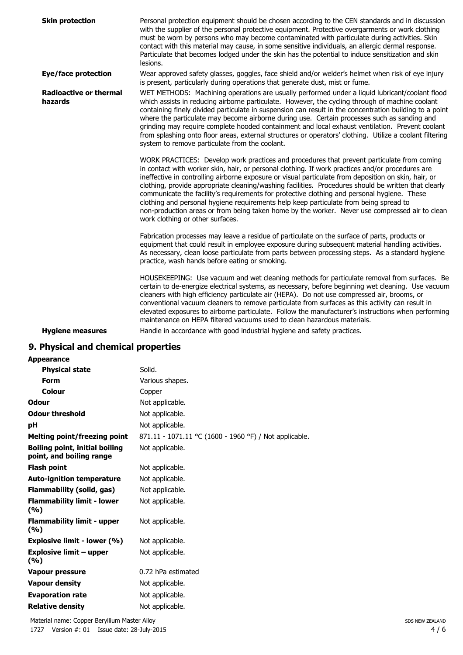| <b>Skin protection</b>                   | Personal protection equipment should be chosen according to the CEN standards and in discussion<br>with the supplier of the personal protective equipment. Protective overgarments or work clothing<br>must be worn by persons who may become contaminated with particulate during activities. Skin<br>contact with this material may cause, in some sensitive individuals, an allergic dermal response.<br>Particulate that becomes lodged under the skin has the potential to induce sensitization and skin<br>lesions.                                                                                                                                                                                                                    |
|------------------------------------------|----------------------------------------------------------------------------------------------------------------------------------------------------------------------------------------------------------------------------------------------------------------------------------------------------------------------------------------------------------------------------------------------------------------------------------------------------------------------------------------------------------------------------------------------------------------------------------------------------------------------------------------------------------------------------------------------------------------------------------------------|
| <b>Eye/face protection</b>               | Wear approved safety glasses, goggles, face shield and/or welder's helmet when risk of eye injury<br>is present, particularly during operations that generate dust, mist or fume.                                                                                                                                                                                                                                                                                                                                                                                                                                                                                                                                                            |
| <b>Radioactive or thermal</b><br>hazards | WET METHODS: Machining operations are usually performed under a liquid lubricant/coolant flood<br>which assists in reducing airborne particulate. However, the cycling through of machine coolant<br>containing finely divided particulate in suspension can result in the concentration building to a point<br>where the particulate may become airborne during use. Certain processes such as sanding and<br>grinding may require complete hooded containment and local exhaust ventilation. Prevent coolant<br>from splashing onto floor areas, external structures or operators' clothing. Utilize a coolant filtering<br>system to remove particulate from the coolant.                                                                 |
|                                          | WORK PRACTICES: Develop work practices and procedures that prevent particulate from coming<br>in contact with worker skin, hair, or personal clothing. If work practices and/or procedures are<br>ineffective in controlling airborne exposure or visual particulate from deposition on skin, hair, or<br>clothing, provide appropriate cleaning/washing facilities. Procedures should be written that clearly<br>communicate the facility's requirements for protective clothing and personal hygiene. These<br>clothing and personal hygiene requirements help keep particulate from being spread to<br>non-production areas or from being taken home by the worker. Never use compressed air to clean<br>work clothing or other surfaces. |
|                                          | Fabrication processes may leave a residue of particulate on the surface of parts, products or<br>equipment that could result in employee exposure during subsequent material handling activities.<br>As necessary, clean loose particulate from parts between processing steps. As a standard hygiene<br>practice, wash hands before eating or smoking.                                                                                                                                                                                                                                                                                                                                                                                      |
|                                          | HOUSEKEEPING: Use vacuum and wet cleaning methods for particulate removal from surfaces. Be<br>certain to de-energize electrical systems, as necessary, before beginning wet cleaning. Use vacuum<br>cleaners with high efficiency particulate air (HEPA). Do not use compressed air, brooms, or<br>conventional vacuum cleaners to remove particulate from surfaces as this activity can result in<br>elevated exposures to airborne particulate. Follow the manufacturer's instructions when performing<br>maintenance on HEPA filtered vacuums used to clean hazardous materials.                                                                                                                                                         |
| <b>Hygiene measures</b>                  | Handle in accordance with good industrial hygiene and safety practices.                                                                                                                                                                                                                                                                                                                                                                                                                                                                                                                                                                                                                                                                      |

## **9. Physical and chemical properties**

| <b>Appearance</b>                                                 |                                                        |
|-------------------------------------------------------------------|--------------------------------------------------------|
| <b>Physical state</b>                                             | Solid.                                                 |
| <b>Form</b>                                                       | Various shapes.                                        |
| Colour                                                            | Copper                                                 |
| <b>Odour</b>                                                      | Not applicable.                                        |
| <b>Odour threshold</b>                                            | Not applicable.                                        |
| рH                                                                | Not applicable.                                        |
| Melting point/freezing point                                      | 871.11 - 1071.11 °C (1600 - 1960 °F) / Not applicable. |
| <b>Boiling point, initial boiling</b><br>point, and boiling range | Not applicable.                                        |
| <b>Flash point</b>                                                | Not applicable.                                        |
| <b>Auto-ignition temperature</b>                                  | Not applicable.                                        |
| <b>Flammability (solid, gas)</b>                                  | Not applicable.                                        |
| <b>Flammability limit - lower</b><br>(9/6)                        | Not applicable.                                        |
| <b>Flammability limit - upper</b><br>(9/6)                        | Not applicable.                                        |
| Explosive limit - lower (%)                                       | Not applicable.                                        |
| <b>Explosive limit - upper</b><br>(%)                             | Not applicable.                                        |
| Vapour pressure                                                   | 0.72 hPa estimated                                     |
| <b>Vapour density</b>                                             | Not applicable.                                        |
| <b>Evaporation rate</b>                                           | Not applicable.                                        |
| <b>Relative density</b>                                           | Not applicable.                                        |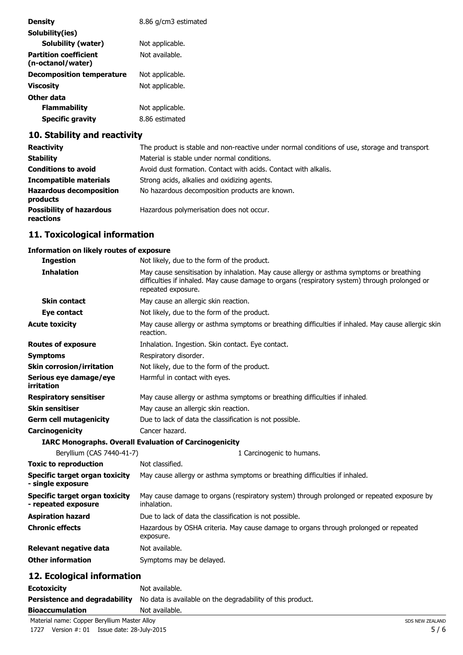| <b>Density</b>                                    | 8.86 g/cm3 estimated |
|---------------------------------------------------|----------------------|
| Solubility(ies)                                   |                      |
| Solubility (water)                                | Not applicable.      |
| <b>Partition coefficient</b><br>(n-octanol/water) | Not available.       |
| <b>Decomposition temperature</b>                  | Not applicable.      |
| Viscosity                                         | Not applicable.      |
| Other data                                        |                      |
| <b>Flammability</b>                               | Not applicable.      |
| Specific gravity                                  | 8.86 estimated       |

## **10. Stability and reactivity**

| <b>Reactivity</b>                            | The product is stable and non-reactive under normal conditions of use, storage and transport |
|----------------------------------------------|----------------------------------------------------------------------------------------------|
| <b>Stability</b>                             | Material is stable under normal conditions.                                                  |
| <b>Conditions to avoid</b>                   | Avoid dust formation. Contact with acids. Contact with alkalis.                              |
| Incompatible materials                       | Strong acids, alkalies and oxidizing agents.                                                 |
| <b>Hazardous decomposition</b><br>products   | No hazardous decomposition products are known.                                               |
| <b>Possibility of hazardous</b><br>reactions | Hazardous polymerisation does not occur.                                                     |

## **11. Toxicological information**

#### **Information on likely routes of exposure**

| <b>Ingestion</b>                                             | Not likely, due to the form of the product.                                                                                                                                                                     |
|--------------------------------------------------------------|-----------------------------------------------------------------------------------------------------------------------------------------------------------------------------------------------------------------|
| <b>Inhalation</b>                                            | May cause sensitisation by inhalation. May cause allergy or asthma symptoms or breathing<br>difficulties if inhaled. May cause damage to organs (respiratory system) through prolonged or<br>repeated exposure. |
| <b>Skin contact</b>                                          | May cause an allergic skin reaction.                                                                                                                                                                            |
| Eye contact                                                  | Not likely, due to the form of the product.                                                                                                                                                                     |
| <b>Acute toxicity</b>                                        | May cause allergy or asthma symptoms or breathing difficulties if inhaled. May cause allergic skin<br>reaction.                                                                                                 |
| <b>Routes of exposure</b>                                    | Inhalation. Ingestion. Skin contact. Eye contact.                                                                                                                                                               |
| <b>Symptoms</b>                                              | Respiratory disorder.                                                                                                                                                                                           |
| <b>Skin corrosion/irritation</b>                             | Not likely, due to the form of the product.                                                                                                                                                                     |
| Serious eye damage/eye<br>irritation                         | Harmful in contact with eyes.                                                                                                                                                                                   |
| <b>Respiratory sensitiser</b>                                | May cause allergy or asthma symptoms or breathing difficulties if inhaled.                                                                                                                                      |
| <b>Skin sensitiser</b>                                       | May cause an allergic skin reaction.                                                                                                                                                                            |
| <b>Germ cell mutagenicity</b>                                | Due to lack of data the classification is not possible.                                                                                                                                                         |
| Carcinogenicity                                              | Cancer hazard.                                                                                                                                                                                                  |
|                                                              | <b>IARC Monographs. Overall Evaluation of Carcinogenicity</b>                                                                                                                                                   |
| Beryllium (CAS 7440-41-7)                                    | 1 Carcinogenic to humans.                                                                                                                                                                                       |
| <b>Toxic to reproduction</b>                                 | Not classified.                                                                                                                                                                                                 |
| <b>Specific target organ toxicity</b><br>- single exposure   | May cause allergy or asthma symptoms or breathing difficulties if inhaled.                                                                                                                                      |
| <b>Specific target organ toxicity</b><br>- repeated exposure | May cause damage to organs (respiratory system) through prolonged or repeated exposure by<br>inhalation.                                                                                                        |
| <b>Aspiration hazard</b>                                     | Due to lack of data the classification is not possible.                                                                                                                                                         |
| <b>Chronic effects</b>                                       | Hazardous by OSHA criteria. May cause damage to organs through prolonged or repeated<br>exposure.                                                                                                               |
| Relevant negative data                                       | Not available.                                                                                                                                                                                                  |
| <b>Other information</b>                                     | Symptoms may be delayed.                                                                                                                                                                                        |
| 19 Ecological information                                    |                                                                                                                                                                                                                 |

#### **12. Ecological information**

| <b>Ecotoxicity</b>     | Not available.                                                                                  |
|------------------------|-------------------------------------------------------------------------------------------------|
|                        | <b>Persistence and degradability</b> No data is available on the degradability of this product. |
| <b>Bioaccumulation</b> | Not available.                                                                                  |